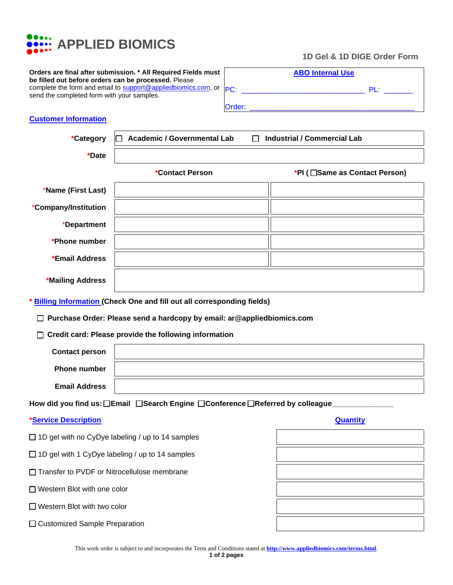

**Orders are final after submission. \* All Required Fields must be filled out before orders can be processed.** Please complete the form and email to [support@appliedbiomics.com,](mailto:support@appliedbiomics.com) or send the completed form with your samples.

| _________________ |  |                             |
|-------------------|--|-----------------------------|
|                   |  | 1D Gel & 1D DIGE Order Form |
|                   |  |                             |

|        | <b>ABO Internal Use</b> |        |
|--------|-------------------------|--------|
| PC:    |                         | $PI +$ |
| Order: |                         |        |

## **Customer Information**

| *Category                                                                         | <b>Academic / Governmental Lab</b><br>П            | <b>Industrial / Commercial Lab</b> |  |  |
|-----------------------------------------------------------------------------------|----------------------------------------------------|------------------------------------|--|--|
| *Date                                                                             |                                                    |                                    |  |  |
|                                                                                   | *Contact Person                                    | *PI ( Same as Contact Person)      |  |  |
| *Name (First Last)                                                                |                                                    |                                    |  |  |
| *Company/Institution                                                              |                                                    |                                    |  |  |
| *Department                                                                       |                                                    |                                    |  |  |
| *Phone number                                                                     |                                                    |                                    |  |  |
| *Email Address                                                                    |                                                    |                                    |  |  |
| *Mailing Address                                                                  |                                                    |                                    |  |  |
| <b>Billing Information (Check One and fill out all corresponding fields)</b>      |                                                    |                                    |  |  |
| □ Purchase Order: Please send a hardcopy by email: ar@appliedbiomics.com          |                                                    |                                    |  |  |
| □ Credit card: Please provide the following information                           |                                                    |                                    |  |  |
| <b>Contact person</b>                                                             |                                                    |                                    |  |  |
| <b>Phone number</b>                                                               |                                                    |                                    |  |  |
| <b>Email Address</b>                                                              |                                                    |                                    |  |  |
| How did you find us: ❑Email   ❑Search Engine  ❑Conference ❑Referred by colleague_ |                                                    |                                    |  |  |
| <b>*Service Description</b>                                                       |                                                    | Quantity                           |  |  |
|                                                                                   | □ 1D gel with no CyDye labeling / up to 14 samples |                                    |  |  |
| $\Box$ 1D gel with 1 CyDye labeling / up to 14 samples                            |                                                    |                                    |  |  |
| Transfer to PVDF or Nitrocellulose membrane                                       |                                                    |                                    |  |  |
| □ Western Blot with one color                                                     |                                                    |                                    |  |  |

- ❑ Western Blot with two color
- ❑ Customized Sample Preparation

| This work order is subject to and incorporates the Term and Conditions stated at <b>http://www.appliedbiomics.com/terms.html</b> . |  |
|------------------------------------------------------------------------------------------------------------------------------------|--|
| 1 of 2 nages                                                                                                                       |  |